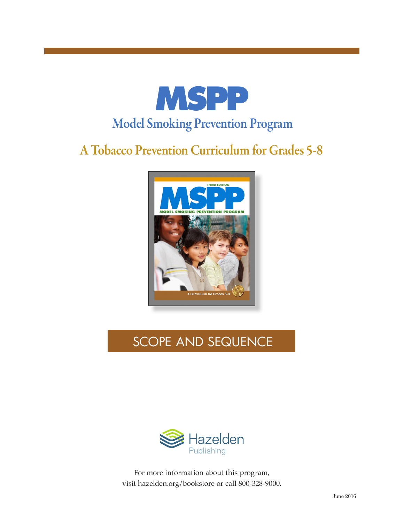

# A Tobacco Prevention Curriculum for Grades 5-8



# SCOPE AND SEQUENCE

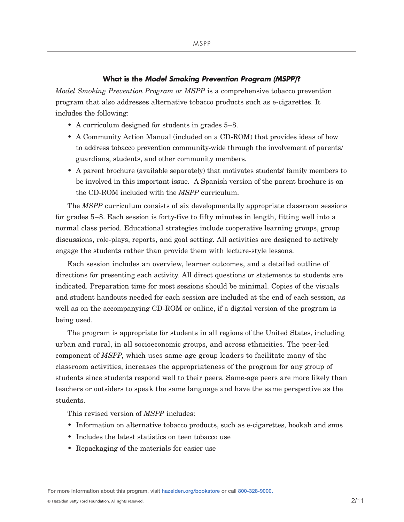### **What is the** *Model Smoking Prevention Program (MSPP)***?**

*Model Smoking Prevention Program or MSPP* is a comprehensive tobacco prevention program that also addresses alternative tobacco products such as e-cigarettes. It includes the following:

- A curriculum designed for students in grades 5–8.
- A Community Action Manual (included on a CD-ROM) that provides ideas of how to address tobacco prevention community-wide through the involvement of parents/ guardians, students, and other community members.
- A parent brochure (available separately) that motivates students' family members to be involved in this important issue. A Spanish version of the parent brochure is on the CD-ROM included with the *MSPP* curriculum.

The *MSPP* curriculum consists of six developmentally appropriate classroom sessions for grades 5–8. Each session is forty-five to fifty minutes in length, fitting well into a normal class period. Educational strategies include cooperative learning groups, group discussions, role-plays, reports, and goal setting. All activities are designed to actively engage the students rather than provide them with lecture-style lessons.

Each session includes an overview, learner outcomes, and a detailed outline of directions for presenting each activity. All direct questions or statements to students are indicated. Preparation time for most sessions should be minimal. Copies of the visuals and student handouts needed for each session are included at the end of each session, as well as on the accompanying CD-ROM or online, if a digital version of the program is being used.

The program is appropriate for students in all regions of the United States, including urban and rural, in all socioeconomic groups, and across ethnicities. The peer-led component of *MSPP*, which uses same-age group leaders to facilitate many of the classroom activities, increases the appropriateness of the program for any group of students since students respond well to their peers. Same-age peers are more likely than teachers or outsiders to speak the same language and have the same perspective as the students.

This revised version of *MSPP* includes:

- Information on alternative tobacco products, such as e-cigarettes, hookah and snus
- Includes the latest statistics on teen tobacco use
- Repackaging of the materials for easier use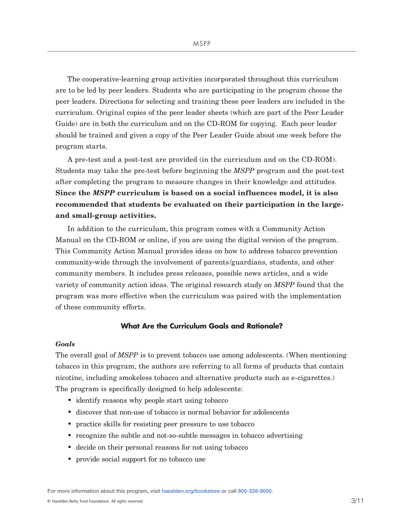The cooperative-learning group activities incorporated throughout this curriculum are to be led by peer leaders. Students who are participating in the program choose the peer leaders. Directions for selecting and training these peer leaders are included in the curriculum. Original copies of the peer leader sheets (which are part of the Peer Leader Guide) are in both the curriculum and on the CD-ROM for copying. Each peer leader should be trained and given a copy of the Peer Leader Guide about one week before the program starts.

A pre-test and a post-test are provided (in the curriculum and on the CD-ROM). Students may take the pre-test before beginning the *MSPP* program and the post-test after completing the program to measure changes in their knowledge and attitudes. **Since the** *MSPP* **curriculum is based on a social influences model, it is also recommended that students be evaluated on their participation in the largeand small-group activities.**

In addition to the curriculum, this program comes with a Community Action Manual on the CD-ROM or online, if you are using the digital version of the program. This Community Action Manual provides ideas on how to address tobacco prevention community-wide through the involvement of parents/guardians, students, and other community members. It includes press releases, possible news articles, and a wide variety of community action ideas. The original research study on *MSPP* found that the program was more effective when the curriculum was paired with the implementation of these community efforts.

## **What Are the Curriculum Goals and Rationale?**

### *Goals*

The overall goal of *MSPP* is to prevent tobacco use among adolescents. (When mentioning tobacco in this program, the authors are referring to all forms of products that contain nicotine, including smokeless tobacco and alternative products such as e-cigarettes.) The program is specifically designed to help adolescents:

- identify reasons why people start using tobacco
- discover that non-use of tobacco is normal behavior for adolescents
- practice skills for resisting peer pressure to use tobacco
- recognize the subtle and not-so-subtle messages in tobacco advertising
- decide on their personal reasons for not using tobacco
- provide social support for no tobacco use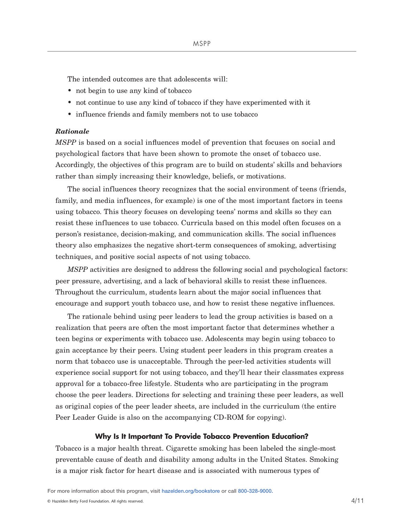The intended outcomes are that adolescents will:

- not begin to use any kind of tobacco
- not continue to use any kind of tobacco if they have experimented with it
- influence friends and family members not to use tobacco

## *Rationale*

*MSPP* is based on a social influences model of prevention that focuses on social and psychological factors that have been shown to promote the onset of tobacco use. Accordingly, the objectives of this program are to build on students' skills and behaviors rather than simply increasing their knowledge, beliefs, or motivations.

The social influences theory recognizes that the social environment of teens (friends, family, and media influences, for example) is one of the most important factors in teens using tobacco. This theory focuses on developing teens' norms and skills so they can resist these influences to use tobacco. Curricula based on this model often focuses on a person's resistance, decision-making, and communication skills. The social influences theory also emphasizes the negative short-term consequences of smoking, advertising techniques, and positive social aspects of not using tobacco.

*MSPP* activities are designed to address the following social and psychological factors: peer pressure, advertising, and a lack of behavioral skills to resist these influences. Throughout the curriculum, students learn about the major social influences that encourage and support youth tobacco use, and how to resist these negative influences.

The rationale behind using peer leaders to lead the group activities is based on a realization that peers are often the most important factor that determines whether a teen begins or experiments with tobacco use. Adolescents may begin using tobacco to gain acceptance by their peers. Using student peer leaders in this program creates a norm that tobacco use is unacceptable. Through the peer-led activities students will experience social support for not using tobacco, and they'll hear their classmates express approval for a tobacco-free lifestyle. Students who are participating in the program choose the peer leaders. Directions for selecting and training these peer leaders, as well as original copies of the peer leader sheets, are included in the curriculum (the entire Peer Leader Guide is also on the accompanying CD-ROM for copying).

#### **Why Is It Important To Provide Tobacco Prevention Education?**

Tobacco is a major health threat. Cigarette smoking has been labeled the single-most preventable cause of death and disability among adults in the United States. Smoking is a major risk factor for heart disease and is associated with numerous types of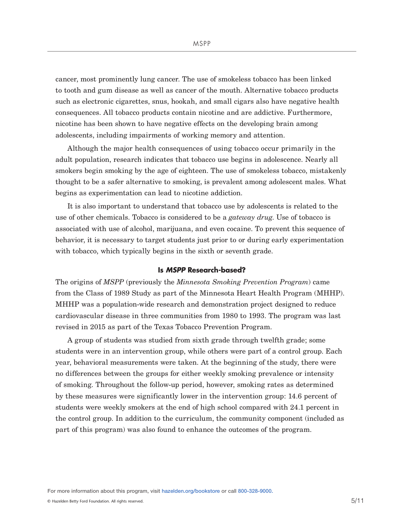cancer, most prominently lung cancer. The use of smokeless tobacco has been linked to tooth and gum disease as well as cancer of the mouth. Alternative tobacco products such as electronic cigarettes, snus, hookah, and small cigars also have negative health consequences. All tobacco products contain nicotine and are addictive. Furthermore, nicotine has been shown to have negative effects on the developing brain among adolescents, including impairments of working memory and attention.

Although the major health consequences of using tobacco occur primarily in the adult population, research indicates that tobacco use begins in adolescence. Nearly all smokers begin smoking by the age of eighteen. The use of smokeless tobacco, mistakenly thought to be a safer alternative to smoking, is prevalent among adolescent males. What begins as experimentation can lead to nicotine addiction.

It is also important to understand that tobacco use by adolescents is related to the use of other chemicals. Tobacco is considered to be a *gateway drug*. Use of tobacco is associated with use of alcohol, marijuana, and even cocaine. To prevent this sequence of behavior, it is necessary to target students just prior to or during early experimentation with tobacco, which typically begins in the sixth or seventh grade.

### **Is** *MSPP* **Research-based?**

The origins of *MSPP* (previously the *Minnesota Smoking Prevention Program*) came from the Class of 1989 Study as part of the Minnesota Heart Health Program (MHHP). MHHP was a population-wide research and demonstration project designed to reduce cardiovascular disease in three communities from 1980 to 1993. The program was last revised in 2015 as part of the Texas Tobacco Prevention Program.

A group of students was studied from sixth grade through twelfth grade; some students were in an intervention group, while others were part of a control group. Each year, behavioral measurements were taken. At the beginning of the study, there were no differences between the groups for either weekly smoking prevalence or intensity of smoking. Throughout the follow-up period, however, smoking rates as determined by these measures were significantly lower in the intervention group: 14.6 percent of students were weekly smokers at the end of high school compared with 24.1 percent in the control group. In addition to the curriculum, the community component (included as part of this program) was also found to enhance the outcomes of the program.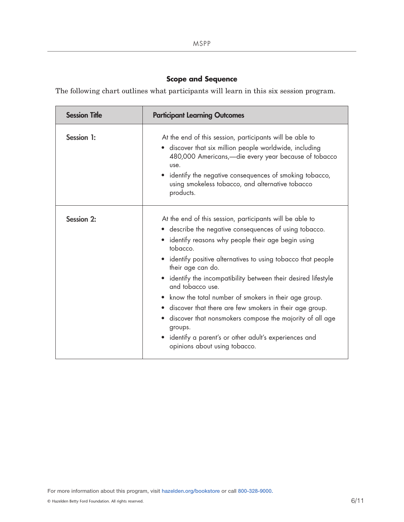# **Scope and Sequence**

The following chart outlines what participants will learn in this six session program.

| <b>Session Title</b> | <b>Participant Learning Outcomes</b>                                                                                                                                                                                                                                                                                                                                                                                                                                                                                                                                                                                                                         |
|----------------------|--------------------------------------------------------------------------------------------------------------------------------------------------------------------------------------------------------------------------------------------------------------------------------------------------------------------------------------------------------------------------------------------------------------------------------------------------------------------------------------------------------------------------------------------------------------------------------------------------------------------------------------------------------------|
| Session 1:           | At the end of this session, participants will be able to<br>• discover that six million people worldwide, including<br>480,000 Americans, - die every year because of tobacco<br>use.<br>identify the negative consequences of smoking tobacco,<br>using smokeless tobacco, and alternative tobacco<br>products.                                                                                                                                                                                                                                                                                                                                             |
| <b>Session 2:</b>    | At the end of this session, participants will be able to<br>• describe the negative consequences of using tobacco.<br>• identify reasons why people their age begin using<br>tobacco.<br>• identify positive alternatives to using tobacco that people<br>their age can do.<br>• identify the incompatibility between their desired lifestyle<br>and tobacco use.<br>• know the total number of smokers in their age group.<br>• discover that there are few smokers in their age group.<br>• discover that nonsmokers compose the majority of all age<br>groups.<br>• identify a parent's or other adult's experiences and<br>opinions about using tobacco. |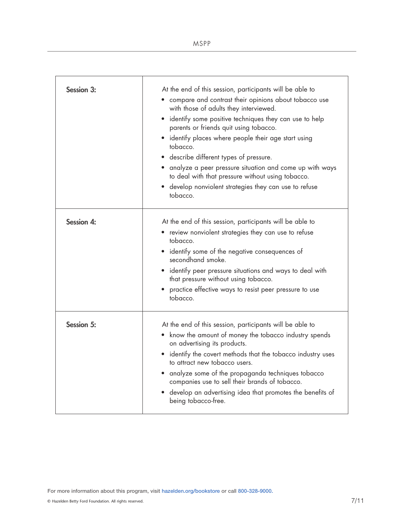| <b>Session 3:</b> | At the end of this session, participants will be able to<br>• compare and contrast their opinions about tobacco use<br>with those of adults they interviewed.<br>• identify some positive techniques they can use to help<br>parents or friends quit using tobacco.<br>• identify places where people their age start using<br>tobacco.<br>• describe different types of pressure.<br>• analyze a peer pressure situation and come up with ways<br>to deal with that pressure without using tobacco.<br>• develop nonviolent strategies they can use to refuse<br>tobacco. |
|-------------------|----------------------------------------------------------------------------------------------------------------------------------------------------------------------------------------------------------------------------------------------------------------------------------------------------------------------------------------------------------------------------------------------------------------------------------------------------------------------------------------------------------------------------------------------------------------------------|
| <b>Session 4:</b> | At the end of this session, participants will be able to<br>• review nonviolent strategies they can use to refuse<br>tobacco.<br>• identify some of the negative consequences of<br>secondhand smoke.<br>• identify peer pressure situations and ways to deal with<br>that pressure without using tobacco.<br>practice effective ways to resist peer pressure to use<br>tobacco.                                                                                                                                                                                           |
| <b>Session 5:</b> | At the end of this session, participants will be able to<br>• know the amount of money the tobacco industry spends<br>on advertising its products.<br>• identify the covert methods that the tobacco industry uses<br>to attract new tobacco users.<br>• analyze some of the propaganda techniques tobacco<br>companies use to sell their brands of tobacco.<br>• develop an advertising idea that promotes the benefits of<br>being tobacco-free.                                                                                                                         |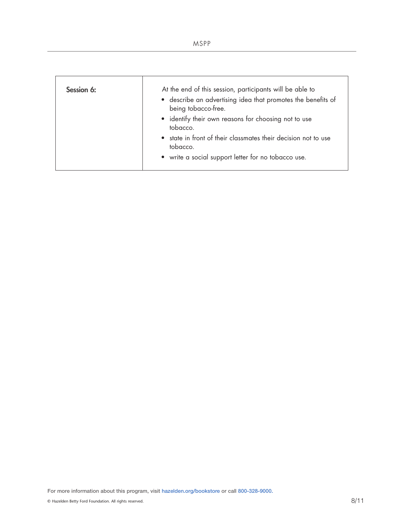| ۰.<br>× |  |  |  |  |
|---------|--|--|--|--|
|---------|--|--|--|--|

| Session 6: | At the end of this session, participants will be able to<br>• describe an advertising idea that promotes the benefits of<br>being tobacco-free.<br>• identify their own reasons for choosing not to use<br>tobacco. |
|------------|---------------------------------------------------------------------------------------------------------------------------------------------------------------------------------------------------------------------|
|            | • state in front of their classmates their decision not to use<br>tobacco.<br>• write a social support letter for no tobacco use.                                                                                   |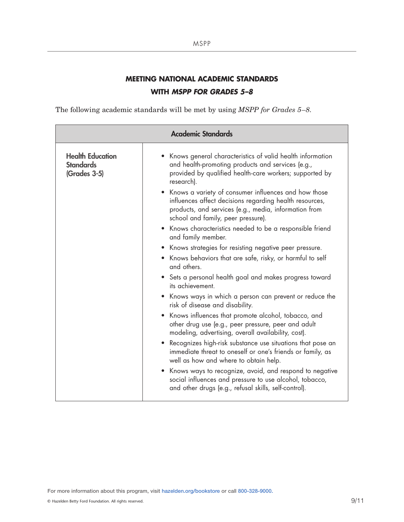# **MEETING NATIONAL ACADEMIC STANDARDS WITH** *MSPP FOR GRADES 5–8*

The following academic standards will be met by using *MSPP for Grades 5–8.*

| <b>Academic Standards</b>                                   |                                                                                                                                                                                                                                                                                                                                                                                                                                                                                                                                                                                                                                                                                                      |  |
|-------------------------------------------------------------|------------------------------------------------------------------------------------------------------------------------------------------------------------------------------------------------------------------------------------------------------------------------------------------------------------------------------------------------------------------------------------------------------------------------------------------------------------------------------------------------------------------------------------------------------------------------------------------------------------------------------------------------------------------------------------------------------|--|
| <b>Health Education</b><br><b>Standards</b><br>(Grades 3-5) | • Knows general characteristics of valid health information<br>and health-promoting products and services (e.g.,<br>provided by qualified health-care workers; supported by<br>research).<br>• Knows a variety of consumer influences and how those<br>influences affect decisions regarding health resources,<br>products, and services (e.g., media, information from<br>school and family, peer pressure).<br>• Knows characteristics needed to be a responsible friend<br>and family member.<br>• Knows strategies for resisting negative peer pressure.<br>• Knows behaviors that are safe, risky, or harmful to self<br>and others.<br>• Sets a personal health goal and makes progress toward |  |
|                                                             | its achievement.<br>• Knows ways in which a person can prevent or reduce the<br>risk of disease and disability.<br>• Knows influences that promote alcohol, tobacco, and<br>other drug use (e.g., peer pressure, peer and adult<br>modeling, advertising, overall availability, cost).<br>• Recognizes high-risk substance use situations that pose an<br>immediate threat to oneself or one's friends or family, as                                                                                                                                                                                                                                                                                 |  |
|                                                             | well as how and where to obtain help.<br>• Knows ways to recognize, avoid, and respond to negative<br>social influences and pressure to use alcohol, tobacco,<br>and other drugs (e.g., refusal skills, self-control).                                                                                                                                                                                                                                                                                                                                                                                                                                                                               |  |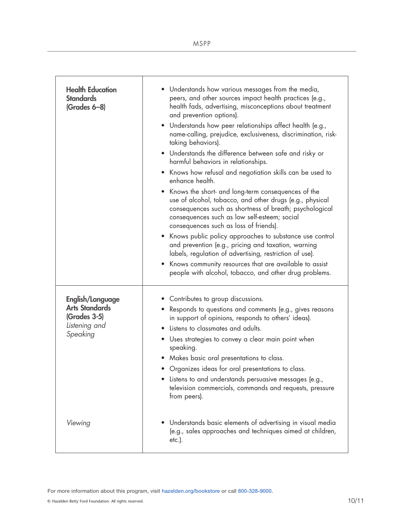| <b>Health Education</b><br><b>Standards</b><br>$(Grades 6-8)$                          | • Understands how various messages from the media,<br>peers, and other sources impact health practices (e.g.,<br>health fads, advertising, misconceptions about treatment<br>and prevention options).<br>• Understands how peer relationships affect health (e.g.,<br>name-calling, prejudice, exclusiveness, discrimination, risk-<br>taking behaviors).<br>• Understands the difference between safe and risky or<br>harmful behaviors in relationships.<br>• Knows how refusal and negotiation skills can be used to<br>enhance health.<br>Knows the short- and long-term consequences of the<br>use of alcohol, tobacco, and other drugs (e.g., physical<br>consequences such as shortness of breath; psychological<br>consequences such as low self-esteem; social<br>consequences such as loss of friends).<br>• Knows public policy approaches to substance use control<br>and prevention (e.g., pricing and taxation, warning<br>labels, regulation of advertising, restriction of use).<br>• Knows community resources that are available to assist<br>people with alcohol, tobacco, and other drug problems. |
|----------------------------------------------------------------------------------------|------------------------------------------------------------------------------------------------------------------------------------------------------------------------------------------------------------------------------------------------------------------------------------------------------------------------------------------------------------------------------------------------------------------------------------------------------------------------------------------------------------------------------------------------------------------------------------------------------------------------------------------------------------------------------------------------------------------------------------------------------------------------------------------------------------------------------------------------------------------------------------------------------------------------------------------------------------------------------------------------------------------------------------------------------------------------------------------------------------------------|
| English/Language<br><b>Arts Standards</b><br>(Grades 3-5)<br>Listening and<br>Speaking | • Contributes to group discussions.<br>• Responds to questions and comments (e.g., gives reasons<br>in support of opinions, responds to others' ideas).<br>• Listens to classmates and adults.<br>Uses strategies to convey a clear main point when<br>$\bullet$<br>speaking.<br>• Makes basic oral presentations to class.<br>• Organizes ideas for oral presentations to class.<br>• Listens to and understands persuasive messages (e.g.,<br>television commercials, commands and requests, pressure<br>from peers).                                                                                                                                                                                                                                                                                                                                                                                                                                                                                                                                                                                                |
| Viewing                                                                                | Understands basic elements of advertising in visual media<br>(e.g., sales approaches and techniques aimed at children,<br>$etc.$ ).                                                                                                                                                                                                                                                                                                                                                                                                                                                                                                                                                                                                                                                                                                                                                                                                                                                                                                                                                                                    |